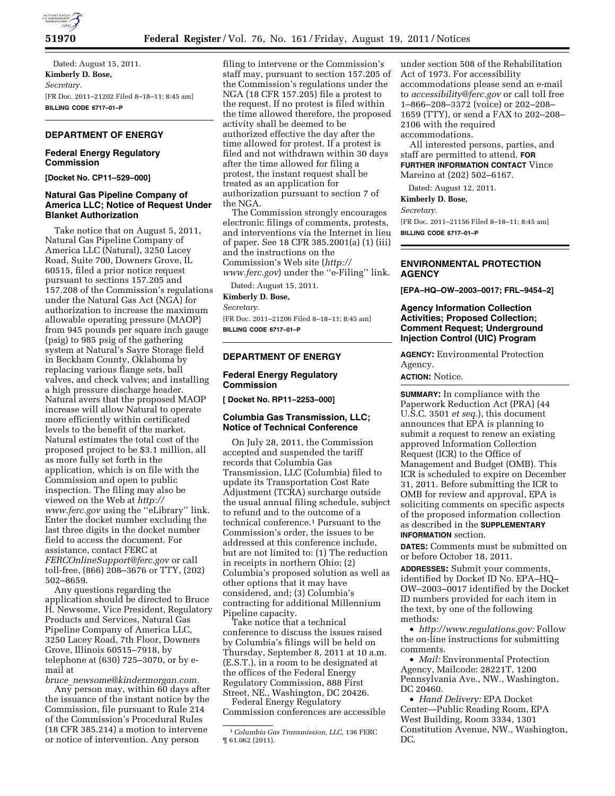

**51970 Federal Register** / Vol. 76, No. 161 / Friday, August 19, 2011 / Notices

Dated: August 15, 2011. **Kimberly D. Bose,**  *Secretary.*  [FR Doc. 2011–21202 Filed 8–18–11; 8:45 am] **BILLING CODE 6717–01–P** 

# **DEPARTMENT OF ENERGY**

# **Federal Energy Regulatory Commission**

**[Docket No. CP11–529–000]** 

# **Natural Gas Pipeline Company of America LLC; Notice of Request Under Blanket Authorization**

Take notice that on August 5, 2011, Natural Gas Pipeline Company of America LLC (Natural), 3250 Lacey Road, Suite 700, Downers Grove, IL 60515, filed a prior notice request pursuant to sections 157.205 and 157.208 of the Commission's regulations under the Natural Gas Act (NGA) for authorization to increase the maximum allowable operating pressure (MAOP) from 945 pounds per square inch gauge (psig) to 985 psig of the gathering system at Natural's Sayre Storage field in Beckham County, Oklahoma by replacing various flange sets, ball valves, and check valves; and installing a high pressure discharge header. Natural avers that the proposed MAOP increase will allow Natural to operate more efficiently within certificated levels to the benefit of the market. Natural estimates the total cost of the proposed project to be \$3.1 million, all as more fully set forth in the application, which is on file with the Commission and open to public inspection. The filing may also be viewed on the Web at *[http://](http://www.ferc.gov) [www.ferc.gov](http://www.ferc.gov)* using the ''eLibrary'' link. Enter the docket number excluding the last three digits in the docket number field to access the document. For assistance, contact FERC at *[FERCOnlineSupport@ferc.gov](mailto:FERCOnlineSupport@ferc.gov)* or call toll-free, (866) 208–3676 or TTY, (202) 502–8659.

Any questions regarding the application should be directed to Bruce H. Newsome, Vice President, Regulatory Products and Services, Natural Gas Pipeline Company of America LLC, 3250 Lacey Road, 7th Floor, Downers Grove, Illinois 60515–7918, by telephone at (630) 725–3070, or by email at

*bruce*\_*[newsome@kindermorgan.com.](mailto:bruce_newsome@kindermorgan.com)*  Any person may, within 60 days after the issuance of the instant notice by the Commission, file pursuant to Rule 214 of the Commission's Procedural Rules (18 CFR 385.214) a motion to intervene or notice of intervention. Any person

filing to intervene or the Commission's staff may, pursuant to section 157.205 of the Commission's regulations under the NGA (18 CFR 157.205) file a protest to the request. If no protest is filed within the time allowed therefore, the proposed activity shall be deemed to be authorized effective the day after the time allowed for protest. If a protest is filed and not withdrawn within 30 days after the time allowed for filing a protest, the instant request shall be treated as an application for authorization pursuant to section 7 of the NGA.

The Commission strongly encourages electronic filings of comments, protests, and interventions via the Internet in lieu of paper. See 18 CFR 385.2001(a) (1) (iii) and the instructions on the Commission's Web site (*[http://](http://www.ferc.gov)  [www.ferc.gov](http://www.ferc.gov)*) under the ''e-Filing'' link.

Dated: August 15, 2011. **Kimberly D. Bose,**  *Secretary.* 

[FR Doc. 2011–21206 Filed 8–18–11; 8:45 am] **BILLING CODE 6717–01–P** 

#### **DEPARTMENT OF ENERGY**

## **Federal Energy Regulatory Commission**

**[ Docket No. RP11–2253–000]** 

## **Columbia Gas Transmission, LLC; Notice of Technical Conference**

On July 28, 2011, the Commission accepted and suspended the tariff records that Columbia Gas Transmission, LLC (Columbia) filed to update its Transportation Cost Rate Adjustment (TCRA) surcharge outside the usual annual filing schedule, subject to refund and to the outcome of a technical conference.1 Pursuant to the Commission's order, the issues to be addressed at this conference include, but are not limited to: (1) The reduction in receipts in northern Ohio; (2) Columbia's proposed solution as well as other options that it may have considered, and; (3) Columbia's contracting for additional Millennium Pipeline capacity.

Take notice that a technical conference to discuss the issues raised by Columbia's filings will be held on Thursday, September 8, 2011 at 10 a.m. (E.S.T.), in a room to be designated at the offices of the Federal Energy Regulatory Commission, 888 First Street, NE., Washington, DC 20426.

Federal Energy Regulatory Commission conferences are accessible

under section 508 of the Rehabilitation Act of 1973. For accessibility accommodations please send an e-mail to *[accessibility@ferc.gov](mailto:accessibility@ferc.gov)* or call toll free 1–866–208–3372 (voice) or 202–208– 1659 (TTY), or send a FAX to 202–208– 2106 with the required accommodations.

All interested persons, parties, and staff are permitted to attend. **FOR FURTHER INFORMATION CONTACT** Vince Mareino at (202) 502–6167.

Dated: August 12, 2011.

**Kimberly D. Bose,** 

*Secretary.* 

[FR Doc. 2011–21156 Filed 8–18–11; 8:45 am] **BILLING CODE 6717–01–P** 

# **ENVIRONMENTAL PROTECTION AGENCY**

**[EPA–HQ–OW–2003–0017; FRL–9454–2]** 

# **Agency Information Collection Activities; Proposed Collection; Comment Request; Underground Injection Control (UIC) Program**

**AGENCY:** Environmental Protection Agency.

**ACTION:** Notice.

**SUMMARY:** In compliance with the Paperwork Reduction Act (PRA) (44 U.S.C. 3501 *et seq.*), this document announces that EPA is planning to submit a request to renew an existing approved Information Collection Request (ICR) to the Office of Management and Budget (OMB). This ICR is scheduled to expire on December 31, 2011. Before submitting the ICR to OMB for review and approval, EPA is soliciting comments on specific aspects of the proposed information collection as described in the **SUPPLEMENTARY INFORMATION** section.

**DATES:** Comments must be submitted on or before October 18, 2011.

**ADDRESSES:** Submit your comments, identified by Docket ID No. EPA–HQ– OW–2003–0017 identified by the Docket ID numbers provided for each item in the text, by one of the following methods:

• *[http://www.regulations.gov:](http://www.regulations.gov)* Follow the on-line instructions for submitting comments.

• *Mail:* Environmental Protection Agency, Mailcode: 28221T, 1200 Pennsylvania Ave., NW., Washington, DC 20460.

• *Hand Delivery:* EPA Docket Center—Public Reading Room, EPA West Building, Room 3334, 1301 Constitution Avenue, NW., Washington, DC.

<sup>1</sup>*Columbia Gas Transmission, LLC,* 136 FERC ¶ 61,062 (2011).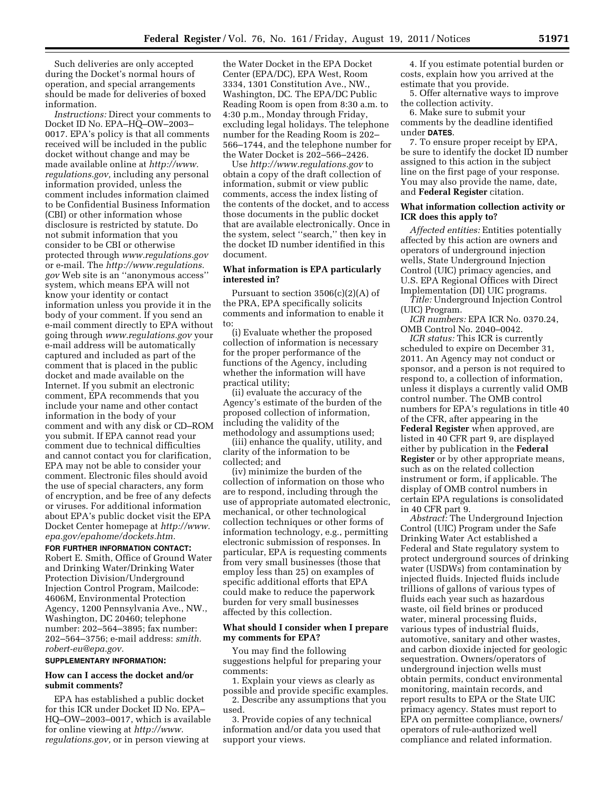Such deliveries are only accepted during the Docket's normal hours of operation, and special arrangements should be made for deliveries of boxed information.

*Instructions:* Direct your comments to Docket ID No. EPA–HQ–OW–2003– 0017. EPA's policy is that all comments received will be included in the public docket without change and may be made available online at *[http://www.](http://www.regulations.gov) [regulations.gov,](http://www.regulations.gov)* including any personal information provided, unless the comment includes information claimed to be Confidential Business Information (CBI) or other information whose disclosure is restricted by statute. Do not submit information that you consider to be CBI or otherwise protected through *[www.regulations.gov](http://www.regulations.gov)*  or e-mail. The *[http://www.regulations.](http://www.regulations.gov) [gov](http://www.regulations.gov)* Web site is an ''anonymous access'' system, which means EPA will not know your identity or contact information unless you provide it in the body of your comment. If you send an e-mail comment directly to EPA without going through *[www.regulations.gov](http://www.regulations.gov)* your e-mail address will be automatically captured and included as part of the comment that is placed in the public docket and made available on the Internet. If you submit an electronic comment, EPA recommends that you include your name and other contact information in the body of your comment and with any disk or CD–ROM you submit. If EPA cannot read your comment due to technical difficulties and cannot contact you for clarification, EPA may not be able to consider your comment. Electronic files should avoid the use of special characters, any form of encryption, and be free of any defects or viruses. For additional information about EPA's public docket visit the EPA Docket Center homepage at *[http://www.](http://www.epa.gov/epahome/dockets.htm) [epa.gov/epahome/dockets.htm.](http://www.epa.gov/epahome/dockets.htm)* 

**FOR FURTHER INFORMATION CONTACT:**  Robert E. Smith, Office of Ground Water and Drinking Water/Drinking Water Protection Division/Underground Injection Control Program, Mailcode: 4606M, Environmental Protection Agency, 1200 Pennsylvania Ave., NW., Washington, DC 20460; telephone number: 202–564–3895; fax number: 202–564–3756; e-mail address: *smith. robert-eu@epa.gov.* 

#### **SUPPLEMENTARY INFORMATION:**

# **How can I access the docket and/or submit comments?**

EPA has established a public docket for this ICR under Docket ID No. EPA– HQ–OW–2003–0017, which is available for online viewing at *[http://www.](http://www.regulations.gov) [regulations.gov,](http://www.regulations.gov)* or in person viewing at

the Water Docket in the EPA Docket Center (EPA/DC), EPA West, Room 3334, 1301 Constitution Ave., NW., Washington, DC. The EPA/DC Public Reading Room is open from 8:30 a.m. to 4:30 p.m., Monday through Friday, excluding legal holidays. The telephone number for the Reading Room is 202– 566–1744, and the telephone number for the Water Docket is 202–566–2426.

Use *<http://www.regulations.gov>* to obtain a copy of the draft collection of information, submit or view public comments, access the index listing of the contents of the docket, and to access those documents in the public docket that are available electronically. Once in the system, select ''search,'' then key in the docket ID number identified in this document.

# **What information is EPA particularly interested in?**

Pursuant to section 3506(c)(2)(A) of the PRA, EPA specifically solicits comments and information to enable it to:

(i) Evaluate whether the proposed collection of information is necessary for the proper performance of the functions of the Agency, including whether the information will have practical utility;

(ii) evaluate the accuracy of the Agency's estimate of the burden of the proposed collection of information, including the validity of the methodology and assumptions used;

(iii) enhance the quality, utility, and clarity of the information to be collected; and

(iv) minimize the burden of the collection of information on those who are to respond, including through the use of appropriate automated electronic, mechanical, or other technological collection techniques or other forms of information technology, e.g., permitting electronic submission of responses. In particular, EPA is requesting comments from very small businesses (those that employ less than 25) on examples of specific additional efforts that EPA could make to reduce the paperwork burden for very small businesses affected by this collection.

#### **What should I consider when I prepare my comments for EPA?**

You may find the following suggestions helpful for preparing your comments:

1. Explain your views as clearly as possible and provide specific examples.

2. Describe any assumptions that you used.

3. Provide copies of any technical information and/or data you used that support your views.

4. If you estimate potential burden or costs, explain how you arrived at the estimate that you provide.

5. Offer alternative ways to improve the collection activity.

6. Make sure to submit your comments by the deadline identified under **DATES**.

7. To ensure proper receipt by EPA, be sure to identify the docket ID number assigned to this action in the subject line on the first page of your response. You may also provide the name, date, and **Federal Register** citation.

## **What information collection activity or ICR does this apply to?**

*Affected entities:* Entities potentially affected by this action are owners and operators of underground injection wells, State Underground Injection Control (UIC) primacy agencies, and U.S. EPA Regional Offices with Direct Implementation (DI) UIC programs.

*Title:* Underground Injection Control (UIC) Program.

*ICR numbers:* EPA ICR No. 0370.24, OMB Control No. 2040–0042.

*ICR status:* This ICR is currently scheduled to expire on December 31, 2011. An Agency may not conduct or sponsor, and a person is not required to respond to, a collection of information, unless it displays a currently valid OMB control number. The OMB control numbers for EPA's regulations in title 40 of the CFR, after appearing in the **Federal Register** when approved, are listed in 40 CFR part 9, are displayed either by publication in the **Federal Register** or by other appropriate means, such as on the related collection instrument or form, if applicable. The display of OMB control numbers in certain EPA regulations is consolidated in 40 CFR part 9.

*Abstract:* The Underground Injection Control (UIC) Program under the Safe Drinking Water Act established a Federal and State regulatory system to protect underground sources of drinking water (USDWs) from contamination by injected fluids. Injected fluids include trillions of gallons of various types of fluids each year such as hazardous waste, oil field brines or produced water, mineral processing fluids, various types of industrial fluids, automotive, sanitary and other wastes, and carbon dioxide injected for geologic sequestration. Owners/operators of underground injection wells must obtain permits, conduct environmental monitoring, maintain records, and report results to EPA or the State UIC primacy agency. States must report to EPA on permittee compliance, owners/ operators of rule-authorized well compliance and related information.